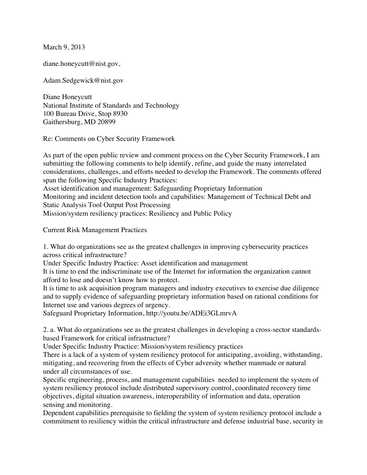March 9, 2013

diane.honeycutt@nist.gov,

Adam.Sedgewick@nist.gov

Diane Honeycutt National Institute of Standards and Technology 100 Bureau Drive, Stop 8930 Gaithersburg, MD 20899

Re: Comments on Cyber Security Framework

As part of the open public review and comment process on the Cyber Security Framework, I am submitting the following comments to help identify, refine, and guide the many interrelated considerations, challenges, and efforts needed to develop the Framework. The comments offered span the following Specific Industry Practices: Asset identification and management: Safeguarding Proprietary Information

Monitoring and incident detection tools and capabilities: Management of Technical Debt and Static Analysis Tool Output Post Processing

Mission/system resiliency practices: Resiliency and Public Policy

Current Risk Management Practices

1. What do organizations see as the greatest challenges in improving cybersecurity practices across critical infrastructure?

Under Specific Industry Practice: Asset identification and management

It is time to end the indiscriminate use of the Internet for information the organization cannot afford to lose and doesn't know how to protect.

It is time to ask acquisition program managers and industry executives to exercise due diligence and to supply evidence of safeguarding proprietary information based on rational conditions for Internet use and various degrees of urgency.

Safeguard Proprietary Information, http://youtu.be/ADEi3GLmrvA

2. a. What do organizations see as the greatest challenges in developing a cross-sector standardsbased Framework for critical infrastructure?

Under Specific Industry Practice: Mission/system resiliency practices

There is a lack of a system of system resiliency protocol for anticipating, avoiding, withstanding, mitigating, and recovering from the effects of Cyber adversity whether manmade or natural under all circumstances of use.

Specific engineering, process, and management capabilities needed to implement the system of system resiliency protocol include distributed supervisory control, coordinated recovery time objectives, digital situation awareness, interoperability of information and data, operation sensing and monitoring.

Dependent capabilities prerequisite to fielding the system of system resiliency protocol include a commitment to resiliency within the critical infrastructure and defense industrial base, security in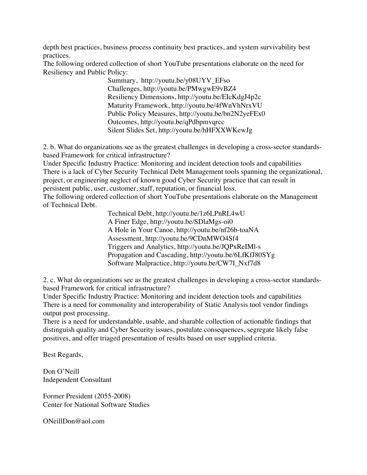depth best practices, business process continuity best practices, and system survivability best practices.

The following ordered collection of short YouTube presentations elaborate on the need for Resiliency and Public Policy:

> Summary, http://youtu.be/y08UYV\_EFso Challenges, http://youtu.be/PMwgwE9vBZ4 Resiliency Dimensions, http://youtu.be/EIcKdgJ4p2c Maturity Framework, http://youtu.be/4fWnVhNrxVU Public Policy Measures, http://youtu.be/bn2N2yeFEx0 Outcomes, http://youtu.be/qPdbpmvqrcc Silent Slides Set, http://youtu.be/hHFXXWKewJg

2. b. What do organizations see as the greatest challenges in developing a cross-sector standardsbased Framework for critical infrastructure?

Under Specific Industry Practice: Monitoring and incident detection tools and capabilities There is a lack of Cyber Security Technical Debt Management tools spanning the organizational, project, or engineering neglect of known good Cyber Security practice that can result in persistent public, user, customer, staff, reputation, or financial loss.

The following ordered collection of short YouTube presentations elaborate on the Management of Technical Debt.

> Technical Debt, http://youtu.be/1z6LPnRL4wU A Finer Edge, http://youtu.be/SDlaMgs-oi0 A Hole in Your Canoe, http://youtu.be/nf26b-toaNA Assessment, http://youtu.be/9CDnMWO4Sf4 Triggers and Analytics, http://youtu.be/JQPxReIMl-s Propagation and Cascading, http://youtu.be/6LfKfJ80SYg Software Malpractice, http://youtu.be/CW7I\_Nxf7d8

2. c. What do organizations see as the greatest challenges in developing a cross-sector standardsbased Framework for critical infrastructure?

Under Specific Industry Practice: Monitoring and incident detection tools and capabilities There is a need for commonality and interoperability of Static Analysis tool vendor findings output post processing.

There is a need for understandable, usable, and sharable collection of actionable findings that distinguish quality and Cyber Security issues, postulate consequences, segregate likely false positives, and offer triaged presentation of results based on user supplied criteria.

Best Regards,

Don O'Neill Independent Consultant

Former President (2055-2008) Center for National Software Studies

ONeillDon@aol.com